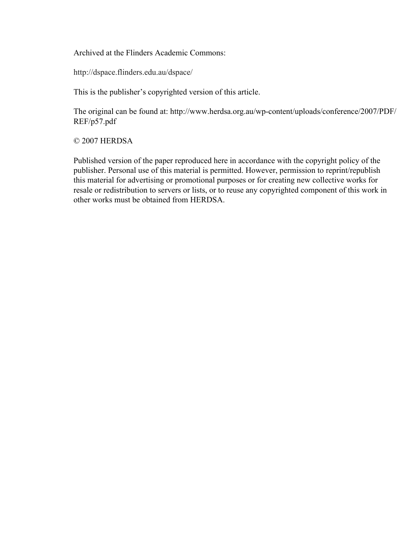Archived at the Flinders Academic Commons:

http://dspace.flinders.edu.au/dspace/

This is the publisher's copyrighted version of this article.

The original can be found at: http://www.herdsa.org.au/wp-content/uploads/conference/2007/PDF/ REF/p57.pdf

# © 2007 HERDSA

Published version of the paper reproduced here in accordance with the copyright policy of the publisher. Personal use of this material is permitted. However, permission to reprint/republish this material for advertising or promotional purposes or for creating new collective works for resale or redistribution to servers or lists, or to reuse any copyrighted component of this work in other works must be obtained from HERDSA.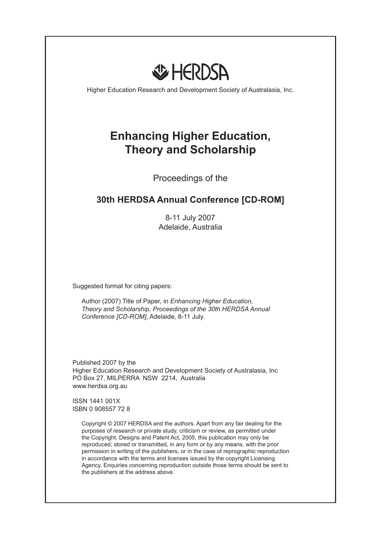

Higher Education Research and Development Society of Australasia, Inc.

# **Enhancing Higher Education, Theory and Scholarship**

Proceedings of the

# **30th HERDSA Annual Conference [CD-ROM]**

8-11 July 2007 Adelaide, Australia

Suggested format for citing papers:

Author (2007) Title of Paper, in *Enhancing Higher Education, Theory and Scholarship, Proceedings of the 30th HERDSA Annual Conference [CD-ROM]*, Adelaide, 8-11 July.

Published 2007 by the Higher Education Research and Development Society of Australasia, Inc PO Box 27, MILPERRA NSW 2214, Australia www.herdsa.org.au

ISSN 1441 001X ISBN 0 908557 72 8

> Copyright © 2007 HERDSA and the authors. Apart from any fair dealing for the purposes of research or private study, criticism or review, as permitted under the Copyright, Designs and Patent Act, 2005, this publication may only be reproduced, stored or transmitted, in any form or by any means, with the prior permission in writing of the publishers, or in the case of reprographic reproduction in accordance with the terms and licenses issued by the copyright Licensing Agency. Enquiries concerning reproduction outside those terms should be sent to the publishers at the address above.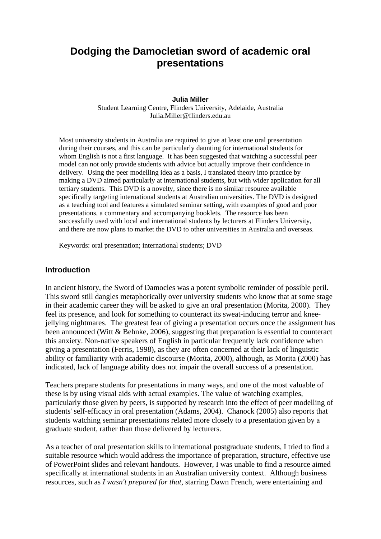# **Dodging the Damocletian sword of academic oral presentations**

#### **Julia Miller**

Student Learning Centre, Flinders University, Adelaide, Australia Julia.Miller@flinders.edu.au

Most university students in Australia are required to give at least one oral presentation during their courses, and this can be particularly daunting for international students for whom English is not a first language. It has been suggested that watching a successful peer model can not only provide students with advice but actually improve their confidence in delivery. Using the peer modelling idea as a basis, I translated theory into practice by making a DVD aimed particularly at international students, but with wider application for all tertiary students. This DVD is a novelty, since there is no similar resource available specifically targeting international students at Australian universities. The DVD is designed as a teaching tool and features a simulated seminar setting, with examples of good and poor presentations, a commentary and accompanying booklets. The resource has been successfully used with local and international students by lecturers at Flinders University, and there are now plans to market the DVD to other universities in Australia and overseas.

Keywords: oral presentation; international students; DVD

#### **Introduction**

In ancient history, the Sword of Damocles was a potent symbolic reminder of possible peril. This sword still dangles metaphorically over university students who know that at some stage in their academic career they will be asked to give an oral presentation (Morita, 2000). They feel its presence, and look for something to counteract its sweat-inducing terror and kneejellying nightmares. The greatest fear of giving a presentation occurs once the assignment has been announced (Witt & Behnke, 2006), suggesting that preparation is essential to counteract this anxiety. Non-native speakers of English in particular frequently lack confidence when giving a presentation (Ferris, 1998), as they are often concerned at their lack of linguistic ability or familiarity with academic discourse (Morita, 2000), although, as Morita (2000) has indicated, lack of language ability does not impair the overall success of a presentation.

Teachers prepare students for presentations in many ways, and one of the most valuable of these is by using visual aids with actual examples. The value of watching examples, particularly those given by peers, is supported by research into the effect of peer modelling of students' self-efficacy in oral presentation (Adams, 2004). Chanock (2005) also reports that students watching seminar presentations related more closely to a presentation given by a graduate student, rather than those delivered by lecturers.

As a teacher of oral presentation skills to international postgraduate students, I tried to find a suitable resource which would address the importance of preparation, structure, effective use of PowerPoint slides and relevant handouts. However, I was unable to find a resource aimed specifically at international students in an Australian university context. Although business resources, such as *I wasn't prepared for that*, starring Dawn French, were entertaining and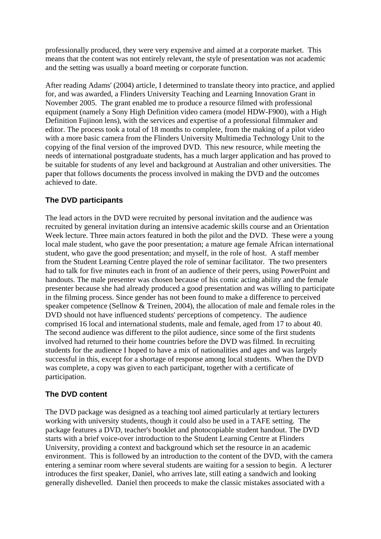professionally produced, they were very expensive and aimed at a corporate market. This means that the content was not entirely relevant, the style of presentation was not academic and the setting was usually a board meeting or corporate function.

After reading Adams' (2004) article, I determined to translate theory into practice, and applied for, and was awarded, a Flinders University Teaching and Learning Innovation Grant in November 2005. The grant enabled me to produce a resource filmed with professional equipment (namely a Sony High Definition video camera (model HDW-F900), with a High Definition Fujinon lens), with the services and expertise of a professional filmmaker and editor. The process took a total of 18 months to complete, from the making of a pilot video with a more basic camera from the Flinders University Multimedia Technology Unit to the copying of the final version of the improved DVD. This new resource, while meeting the needs of international postgraduate students, has a much larger application and has proved to be suitable for students of any level and background at Australian and other universities. The paper that follows documents the process involved in making the DVD and the outcomes achieved to date.

# **The DVD participants**

The lead actors in the DVD were recruited by personal invitation and the audience was recruited by general invitation during an intensive academic skills course and an Orientation Week lecture. Three main actors featured in both the pilot and the DVD. These were a young local male student, who gave the poor presentation; a mature age female African international student, who gave the good presentation; and myself, in the role of host. A staff member from the Student Learning Centre played the role of seminar facilitator. The two presenters had to talk for five minutes each in front of an audience of their peers, using PowerPoint and handouts. The male presenter was chosen because of his comic acting ability and the female presenter because she had already produced a good presentation and was willing to participate in the filming process. Since gender has not been found to make a difference to perceived speaker competence (Sellnow & Treinen, 2004), the allocation of male and female roles in the DVD should not have influenced students' perceptions of competency. The audience comprised 16 local and international students, male and female, aged from 17 to about 40. The second audience was different to the pilot audience, since some of the first students involved had returned to their home countries before the DVD was filmed. In recruiting students for the audience I hoped to have a mix of nationalities and ages and was largely successful in this, except for a shortage of response among local students. When the DVD was complete, a copy was given to each participant, together with a certificate of participation.

# **The DVD content**

The DVD package was designed as a teaching tool aimed particularly at tertiary lecturers working with university students, though it could also be used in a TAFE setting. The package features a DVD, teacher's booklet and photocopiable student handout. The DVD starts with a brief voice-over introduction to the Student Learning Centre at Flinders University, providing a context and background which set the resource in an academic environment. This is followed by an introduction to the content of the DVD, with the camera entering a seminar room where several students are waiting for a session to begin. A lecturer introduces the first speaker, Daniel, who arrives late, still eating a sandwich and looking generally dishevelled. Daniel then proceeds to make the classic mistakes associated with a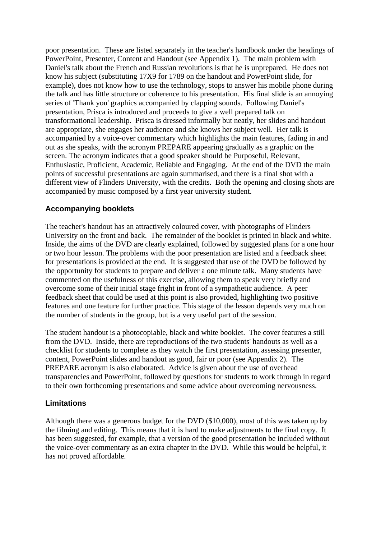poor presentation. These are listed separately in the teacher's handbook under the headings of PowerPoint, Presenter, Content and Handout (see Appendix 1). The main problem with Daniel's talk about the French and Russian revolutions is that he is unprepared. He does not know his subject (substituting 17X9 for 1789 on the handout and PowerPoint slide, for example), does not know how to use the technology, stops to answer his mobile phone during the talk and has little structure or coherence to his presentation. His final slide is an annoying series of 'Thank you' graphics accompanied by clapping sounds. Following Daniel's presentation, Prisca is introduced and proceeds to give a well prepared talk on transformational leadership. Prisca is dressed informally but neatly, her slides and handout are appropriate, she engages her audience and she knows her subject well. Her talk is accompanied by a voice-over commentary which highlights the main features, fading in and out as she speaks, with the acronym PREPARE appearing gradually as a graphic on the screen. The acronym indicates that a good speaker should be Purposeful, Relevant, Enthusiastic, Proficient, Academic, Reliable and Engaging. At the end of the DVD the main points of successful presentations are again summarised, and there is a final shot with a different view of Flinders University, with the credits. Both the opening and closing shots are accompanied by music composed by a first year university student.

# **Accompanying booklets**

The teacher's handout has an attractively coloured cover, with photographs of Flinders University on the front and back. The remainder of the booklet is printed in black and white. Inside, the aims of the DVD are clearly explained, followed by suggested plans for a one hour or two hour lesson. The problems with the poor presentation are listed and a feedback sheet for presentations is provided at the end. It is suggested that use of the DVD be followed by the opportunity for students to prepare and deliver a one minute talk. Many students have commented on the usefulness of this exercise, allowing them to speak very briefly and overcome some of their initial stage fright in front of a sympathetic audience. A peer feedback sheet that could be used at this point is also provided, highlighting two positive features and one feature for further practice. This stage of the lesson depends very much on the number of students in the group, but is a very useful part of the session.

The student handout is a photocopiable, black and white booklet. The cover features a still from the DVD. Inside, there are reproductions of the two students' handouts as well as a checklist for students to complete as they watch the first presentation, assessing presenter, content, PowerPoint slides and handout as good, fair or poor (see Appendix 2). The PREPARE acronym is also elaborated. Advice is given about the use of overhead transparencies and PowerPoint, followed by questions for students to work through in regard to their own forthcoming presentations and some advice about overcoming nervousness.

# **Limitations**

Although there was a generous budget for the DVD (\$10,000), most of this was taken up by the filming and editing. This means that it is hard to make adjustments to the final copy. It has been suggested, for example, that a version of the good presentation be included without the voice-over commentary as an extra chapter in the DVD. While this would be helpful, it has not proved affordable.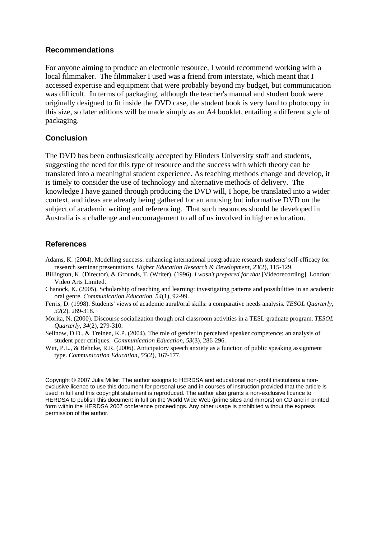#### **Recommendations**

For anyone aiming to produce an electronic resource, I would recommend working with a local filmmaker. The filmmaker I used was a friend from interstate, which meant that I accessed expertise and equipment that were probably beyond my budget, but communication was difficult. In terms of packaging, although the teacher's manual and student book were originally designed to fit inside the DVD case, the student book is very hard to photocopy in this size, so later editions will be made simply as an A4 booklet, entailing a different style of packaging.

### **Conclusion**

The DVD has been enthusiastically accepted by Flinders University staff and students, suggesting the need for this type of resource and the success with which theory can be translated into a meaningful student experience. As teaching methods change and develop, it is timely to consider the use of technology and alternative methods of delivery. The knowledge I have gained through producing the DVD will, I hope, be translated into a wider context, and ideas are already being gathered for an amusing but informative DVD on the subject of academic writing and referencing. That such resources should be developed in Australia is a challenge and encouragement to all of us involved in higher education.

#### **References**

- Adams, K. (2004). Modelling success: enhancing international postgraduate research students' self-efficacy for research seminar presentations. *Higher Education Research & Development*, *23*(2), 115-129.
- Billington, K. (Director), & Grounds, T. (Writer). (1996). *I wasn't prepared for that* [Videorecording]. London: Video Arts Limited.
- Chanock, K. (2005). Scholarship of teaching and learning: investigating patterns and possibilities in an academic oral genre. *Communication Education, 54*(1), 92-99.
- Ferris, D. (1998). Students' views of academic aural/oral skills: a comparative needs analysis. *TESOL Quarterly, 32*(2), 289-318.
- Morita, N. (2000). Discourse socialization though oral classroom activities in a TESL graduate program. *TESOL Quarterly, 34*(2), 279-310.
- Sellnow, D.D., & Treinen, K.P. (2004). The role of gender in perceived speaker competence; an analysis of student peer critiques. *Communication Education, 53*(3), 286-296.
- Witt, P.L., & Behnke, R.R. (2006). Anticipatory speech anxiety as a function of public speaking assignment type. *Communication Education, 55*(2), 167-177.

Copyright © 2007 Julia Miller: The author assigns to HERDSA and educational non-profit institutions a nonexclusive licence to use this document for personal use and in courses of instruction provided that the article is used in full and this copyright statement is reproduced. The author also grants a non-exclusive licence to HERDSA to publish this document in full on the World Wide Web (prime sites and mirrors) on CD and in printed form within the HERDSA 2007 conference proceedings. Any other usage is prohibited without the express permission of the author.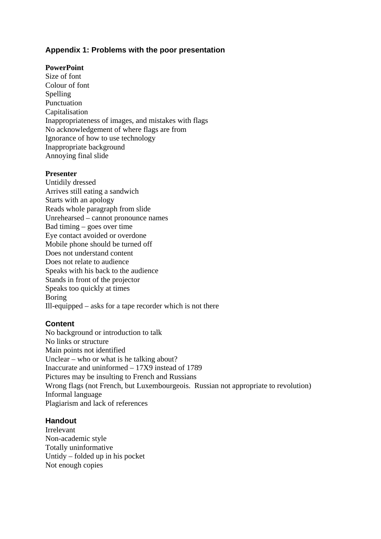# **Appendix 1: Problems with the poor presentation**

### **PowerPoint**

Size of font Colour of font Spelling Punctuation Capitalisation Inappropriateness of images, and mistakes with flags No acknowledgement of where flags are from Ignorance of how to use technology Inappropriate background Annoying final slide

#### **Presenter**

Untidily dressed Arrives still eating a sandwich Starts with an apology Reads whole paragraph from slide Unrehearsed – cannot pronounce names Bad timing – goes over time Eye contact avoided or overdone Mobile phone should be turned off Does not understand content Does not relate to audience Speaks with his back to the audience Stands in front of the projector Speaks too quickly at times Boring Ill-equipped – asks for a tape recorder which is not there

# **Content**

No background or introduction to talk No links or structure Main points not identified Unclear – who or what is he talking about? Inaccurate and uninformed – 17X9 instead of 1789 Pictures may be insulting to French and Russians Wrong flags (not French, but Luxembourgeois. Russian not appropriate to revolution) Informal language Plagiarism and lack of references

# **Handout**

Irrelevant Non-academic style Totally uninformative Untidy – folded up in his pocket Not enough copies